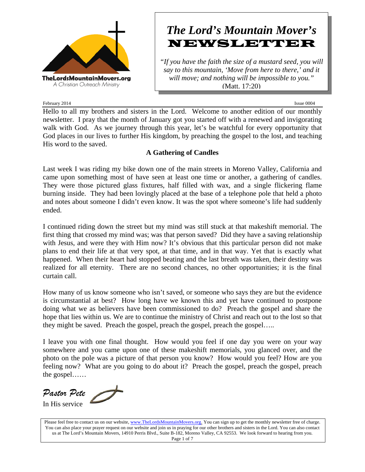

# *The Lord's Mountain Mover's* **NEWSLETTER**

*"If you have the faith the size of a mustard seed, you will say to this mountain, 'Move from here to there,' and it will move; and nothing will be impossible to you."* (Matt. 17:20)

February 2014 **Issue 0004** Issue 0004

Hello to all my brothers and sisters in the Lord. Welcome to another edition of our monthly newsletter. I pray that the month of January got you started off with a renewed and invigorating walk with God. As we journey through this year, let's be watchful for every opportunity that God places in our lives to further His kingdom, by preaching the gospel to the lost, and teaching His word to the saved.

# **A Gathering of Candles**

Last week I was riding my bike down one of the main streets in Moreno Valley, California and came upon something most of have seen at least one time or another, a gathering of candles. They were those pictured glass fixtures, half filled with wax, and a single flickering flame burning inside. They had been lovingly placed at the base of a telephone pole that held a photo and notes about someone I didn't even know. It was the spot where someone's life had suddenly ended.

I continued riding down the street but my mind was still stuck at that makeshift memorial. The first thing that crossed my mind was; was that person saved? Did they have a saving relationship with Jesus, and were they with Him now? It's obvious that this particular person did not make plans to end their life at that very spot, at that time, and in that way. Yet that is exactly what happened. When their heart had stopped beating and the last breath was taken, their destiny was realized for all eternity. There are no second chances, no other opportunities; it is the final curtain call.

How many of us know someone who isn't saved, or someone who says they are but the evidence is circumstantial at best? How long have we known this and yet have continued to postpone doing what we as believers have been commissioned to do? Preach the gospel and share the hope that lies within us. We are to continue the ministry of Christ and reach out to the lost so that they might be saved. Preach the gospel, preach the gospel, preach the gospel…..

I leave you with one final thought. How would you feel if one day you were on your way somewhere and you came upon one of these makeshift memorials, you glanced over, and the photo on the pole was a picture of that person you know? How would you feel? How are you feeling now? What are you going to do about it? Preach the gospel, preach the gospel, preach the gospel……

*Pastor Pete* In His service

Please feel free to contact us on our website, www.TheLordsMountainMovers.org. You can sign up to get the monthly newsletter free of charge. You can also place your prayer request on our website and join us in praying for our other brothers and sisters in the Lord. You can also contact us at The Lord's Mountain Movers, 14910 Perris Blvd., Suite B-182, Moreno Valley, CA 92553. We look forward to hearing from you. Page 1 of 7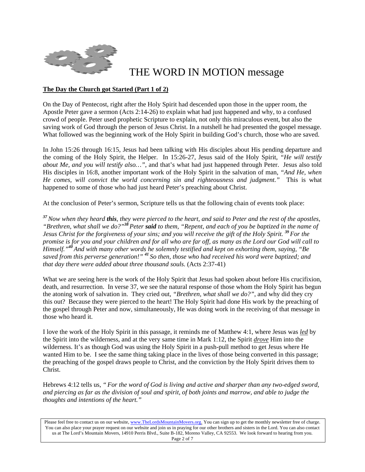

# THE WORD IN MOTION message

# **The Day the Church got Started (Part 1 of 2)**

On the Day of Pentecost, right after the Holy Spirit had descended upon those in the upper room, the Apostle Peter gave a sermon (Acts 2:14-26) to explain what had just happened and why, to a confused crowd of people. Peter used prophetic Scripture to explain, not only this miraculous event, but also the saving work of God through the person of Jesus Christ. In a nutshell he had presented the gospel message. What followed was the beginning work of the Holy Spirit in building God's church, those who are saved.

In John 15:26 through 16:15, Jesus had been talking with His disciples about His pending departure and the coming of the Holy Spirit, the Helper. In 15:26-27, Jesus said of the Holy Spirit, *"He will testify about Me, and you will testify also…"*, and that's what had just happened through Peter. Jesus also told His disciples in 16:8, another important work of the Holy Spirit in the salvation of man, *"And He, when He comes, will convict the world concerning sin and righteousness and judgment."* This is what happened to some of those who had just heard Peter's preaching about Christ.

At the conclusion of Peter's sermon, Scripture tells us that the following chain of events took place:

*<sup>37</sup>Now when they heard this, they were pierced to the heart, and said to Peter and the rest of the apostles, "Brethren, what shall we do?"<sup>38</sup>Peter said to them, "Repent, and each of you be baptized in the name of Jesus Christ for the forgiveness of your sins; and you will receive the gift of the Holy Spirit. <sup>39</sup>For the promise is for you and your children and for all who are far off, as many as the Lord our God will call to Himself."<sup>40</sup>And with many other words he solemnly testified and kept on exhorting them, saying, "Be saved from this perverse generation!" <sup>41</sup>So then, those who had received his word were baptized; and that day there were added about three thousand souls.* (Acts 2:37-41)

What we are seeing here is the work of the Holy Spirit that Jesus had spoken about before His crucifixion, death, and resurrection. In verse 37, we see the natural response of those whom the Holy Spirit has begun the atoning work of salvation in. They cried out, *"Brethren, what shall we do?"*, and why did they cry this out? Because they were pierced to the heart! The Holy Spirit had done His work by the preaching of the gospel through Peter and now, simultaneously, He was doing work in the receiving of that message in those who heard it.

I love the work of the Holy Spirit in this passage, it reminds me of Matthew 4:1, where Jesus was *led* by the Spirit into the wilderness, and at the very same time in Mark 1:12, the Spirit *drove* Him into the wilderness. It's as though God was using the Holy Spirit in a push-pull method to get Jesus where He wanted Him to be. I see the same thing taking place in the lives of those being converted in this passage; the preaching of the gospel draws people to Christ, and the conviction by the Holy Spirit drives them to Christ.

Hebrews 4:12 tells us, *" For the word of God is living and active and sharper than any two-edged sword, and piercing as far as the division of soul and spirit, of both joints and marrow, and able to judge the thoughts and intentions of the heart."*

Please feel free to contact us on our website, www.TheLordsMountainMovers.org. You can sign up to get the monthly newsletter free of charge. You can also place your prayer request on our website and join us in praying for our other brothers and sisters in the Lord. You can also contact us at The Lord's Mountain Movers, 14910 Perris Blvd., Suite B-182, Moreno Valley, CA 92553. We look forward to hearing from you. Page 2 of 7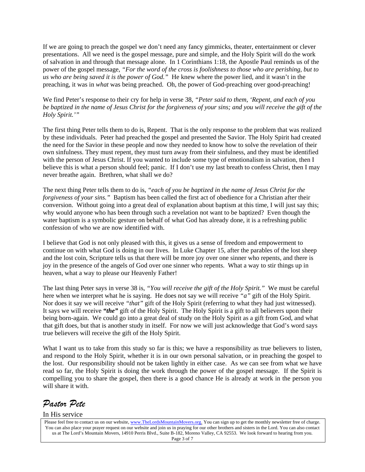If we are going to preach the gospel we don't need any fancy gimmicks, theater, entertainment or clever presentations. All we need is the gospel message, pure and simple, and the Holy Spirit will do the work of salvation in and through that message alone. In 1 Corinthians 1:18, the Apostle Paul reminds us of the power of the gospel message, *"For the word of the cross is foolishness to those who are perishing, but to us who are being saved it is the power of God."* He knew where the power lied, and it wasn't in the preaching, it was in *what* was being preached. Oh, the power of God-preaching over good-preaching!

We find Peter's response to their cry for help in verse 38, *"Peter said to them, 'Repent, and each of you be baptized in the name of Jesus Christ for the forgiveness of your sins; and you will receive the gift of the Holy Spirit.'"*

The first thing Peter tells them to do is, Repent. That is the only response to the problem that was realized by these individuals. Peter had preached the gospel and presented the Savior. The Holy Spirit had created the need for the Savior in these people and now they needed to know how to solve the revelation of their own sinfulness. They must repent, they must turn away from their sinfulness, and they must be identified with the person of Jesus Christ. If you wanted to include some type of emotionalism in salvation, then I believe this is what a person should feel; panic. If I don't use my last breath to confess Christ, then I may never breathe again. Brethren, what shall we do?

The next thing Peter tells them to do is, *"each of you be baptized in the name of Jesus Christ for the forgiveness of your sins.*" Baptism has been called the first act of obedience for a Christian after their conversion. Without going into a great deal of explanation about baptism at this time, I will just say this; why would anyone who has been through such a revelation not want to be baptized? Even though the water baptism is a symbolic gesture on behalf of what God has already done, it is a refreshing public confession of who we are now identified with.

I believe that God is not only pleased with this, it gives us a sense of freedom and empowerment to continue on with what God is doing in our lives. In Luke Chapter 15, after the parables of the lost sheep and the lost coin, Scripture tells us that there will be more joy over one sinner who repents, and there is joy in the presence of the angels of God over one sinner who repents. What a way to stir things up in heaven, what a way to please our Heavenly Father!

The last thing Peter says in verse 38 is, *"You will receive the gift of the Holy Spirit."* We must be careful here when we interpret what he is saying. He does not say we will receive *"a"* gift of the Holy Spirit. Nor does it say we will receive *"that"* gift of the Holy Spirit (referring to what they had just witnessed). It says we will receive *"the"* gift of the Holy Spirit. The Holy Spirit is a gift to all believers upon their being born-again. We could go into a great deal of study on the Holy Spirit as a gift from God, and what that gift does, but that is another study in itself. For now we will just acknowledge that God's word says true believers will receive the gift of the Holy Spirit.

What I want us to take from this study so far is this; we have a responsibility as true believers to listen, and respond to the Holy Spirit, whether it is in our own personal salvation, or in preaching the gospel to the lost. Our responsibility should not be taken lightly in either case. As we can see from what we have read so far, the Holy Spirit is doing the work through the power of the gospel message. If the Spirit is compelling you to share the gospel, then there is a good chance He is already at work in the person you will share it with.

*Pastor Pete* 

# In His service

Please feel free to contact us on our website, www.TheLordsMountainMovers.org. You can sign up to get the monthly newsletter free of charge. You can also place your prayer request on our website and join us in praying for our other brothers and sisters in the Lord. You can also contact us at The Lord's Mountain Movers, 14910 Perris Blvd., Suite B-182, Moreno Valley, CA 92553. We look forward to hearing from you. Page 3 of 7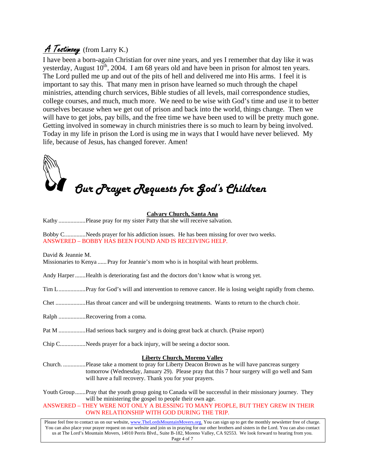# A Testimony (from Larry K.)

I have been a born-again Christian for over nine years, and yes I remember that day like it was yesterday, August  $10^{th}$ , 2004. I am 68 years old and have been in prison for almost ten years. The Lord pulled me up and out of the pits of hell and delivered me into His arms. I feel it is important to say this. That many men in prison have learned so much through the chapel ministries, attending church services, Bible studies of all levels, mail correspondence studies, college courses, and much, much more. We need to be wise with God's time and use it to better ourselves because when we get out of prison and back into the world, things change. Then we will have to get jobs, pay bills, and the free time we have been used to will be pretty much gone. Getting involved in someway in church ministries there is so much to learn by being involved. Today in my life in prison the Lord is using me in ways that I would have never believed. My life, because of Jesus, has changed forever. Amen!

# *Our Prayer Requests for God's Children*

# **Calvary Church, Santa Ana**

Kathy ..................Please pray for my sister Patty that she will receive salvation.

Bobby C..............Needs prayer for his addiction issues. He has been missing for over two weeks. ANSWERED – BOBBY HAS BEEN FOUND AND IS RECEIVING HELP.

David & Jeannie M.

Missionaries to Kenya ......Pray for Jeannie's mom who is in hospital with heart problems.

Andy Harper .......Health is deteriorating fast and the doctors don't know what is wrong yet.

- Tim L..................Pray for God's will and intervention to remove cancer. He is losing weight rapidly from chemo.
- Chet ....................Has throat cancer and will be undergoing treatments. Wants to return to the church choir.

Ralph ..................Recovering from a coma.

- Pat M ..................Had serious back surgery and is doing great back at church. (Praise report)
- Chip C.................Needs prayer for a back injury, will be seeing a doctor soon.

# **Liberty Church, Moreno Valley**

Church. ...............Please take a moment to pray for Liberty Deacon Brown as he will have pancreas surgery tomorrow (Wednesday, January 29). Please pray that this 7 hour surgery will go well and Sam will have a full recovery. Thank you for your prayers.

Youth Group.......Pray that the youth group going to Canada will be successful in their missionary journey. They will be ministering the gospel to people their own age.

ANSWERED – THEY WERE NOT ONLY A BLESSING TO MANY PEOPLE, BUT THEY GREW IN THEIR OWN RELATIONSHIP WITH GOD DURING THE TRIP.

Please feel free to contact us on our website, www.TheLordsMountainMovers.org. You can sign up to get the monthly newsletter free of charge. You can also place your prayer request on our website and join us in praying for our other brothers and sisters in the Lord. You can also contact us at The Lord's Mountain Movers, 14910 Perris Blvd., Suite B-182, Moreno Valley, CA 92553. We look forward to hearing from you. Page 4 of 7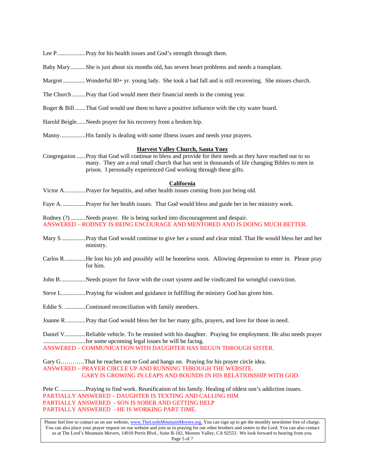Baby Mary..........She is just about six months old, has severe heart problems and needs a transplant. Margret ...............Wonderful 80+ yr. young lady. She took a bad fall and is still recovering. She misses church. The Church .........Pray that God would meet their financial needs in the coming year. Roger & Bill .......That God would use them to have a positive influence with the city water board. Harold Beigle......Needs prayer for his recovery from a broken hip. Manny.................His family is dealing with some illness issues and needs your prayers. **Harvest Valley Church, Santa Ynez** Congregation ......Pray that God will continue to bless and provide for their needs as they have reached out to so many. They are a real small church that has sent in thousands of life changing Bibles to men in prison. I personally experienced God working through these gifts. **California**

Victor A..............Prayer for hepatitis, and other health issues coming from just being old.

Lee P...................Pray for his health issues and God's strength through them.

Faye A. ...............Prayer for her health issues. That God would bless and guide her in her ministry work.

Rodney (?) ..........Needs prayer. He is being sucked into discouragement and despair. ANSWERED – RODNEY IS BEING ENCOURAGE AND MENTORED AND IS DOING MUCH BETTER.

- Mary S ................Pray that God would continue to give her a sound and clear mind. That He would bless her and her ministry.
- Carlos R..............He lost his job and possibly will be homeless soon. Allowing depression to enter in. Please pray for him.
- John B.................Needs prayer for favor with the court system and be vindicated for wrongful conviction.
- Steve L................Praying for wisdom and guidance in fulfilling the ministry God has given him.

Eddie S. ..............Continued reconciliation with family members.

Joanne R. ............Pray that God would bless her for her many gifts, prayers, and love for those in need.

Daniel V..............Reliable vehicle. To be reunited with his daughter. Praying for employment. He also needs prayer ............................for some upcoming legal issues he will be facing. ANSWERED – COMMUNICATION WITH DAUGHTER HAS BEGUN THROUGH SISTER.

Gary G…………That he reaches out to God and hangs on. Praying for his prayer circle idea. ANSWERED – PRAYER CIRCLE UP AND RUNNING THROUGH THE WEBSITE. GARY IS GROWING IN LEAPS AND BOUNDS IN HIS RELATIONSHIP WITH GOD.

Pete C .................Praying to find work. Reunification of his family. Healing of oldest son's addiction issues. PARTIALLY ANSWERED – DAUGHTER IS TEXTING AND CALLING HIM PARTIALLY ANSWERED - SON IS SOBER AND GETTING HELP PARTIALLY ANSWERED - HE IS WORKING PART TIME.

Please feel free to contact us on our website, www.TheLordsMountainMovers.org. You can sign up to get the monthly newsletter free of charge. You can also place your prayer request on our website and join us in praying for our other brothers and sisters in the Lord. You can also contact us at The Lord's Mountain Movers, 14910 Perris Blvd., Suite B-182, Moreno Valley, CA 92553. We look forward to hearing from you. Page 5 of 7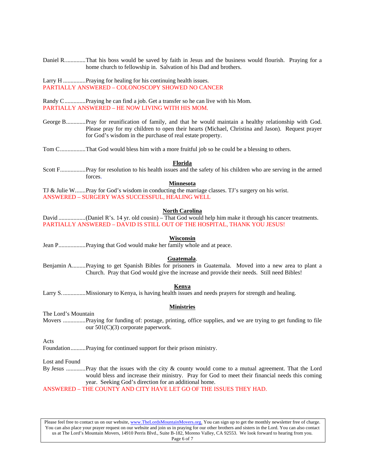Daniel R..............That his boss would be saved by faith in Jesus and the business would flourish. Praying for a home church to fellowship in. Salvation of his Dad and brothers.

Larry H .................Praying for healing for his continuing health issues. PARTIALLY ANSWERED – COLONOSCOPY SHOWED NO CANCER

Randy C..............Praying he can find a job. Get a transfer so he can live with his Mom. PARTIALLY ANSWERED – HE NOW LIVING WITH HIS MOM.

- George B.............Pray for reunification of family, and that he would maintain a healthy relationship with God. Please pray for my children to open their hearts (Michael, Christina and Jason). Request prayer for God's wisdom in the purchase of real estate property.
- Tom C.................That God would bless him with a more fruitful job so he could be a blessing to others.

### **Florida**

Scott F.................Pray for resolution to his health issues and the safety of his children who are serving in the armed forces.

# **Minnesota**

TJ & Julie W.......Pray for God's wisdom in conducting the marriage classes. TJ's surgery on his wrist. ANSWERED – SURGERY WAS SUCCESSFUL, HEALING WELL

# **North Carolina**

David ..................(Daniel R's. 14 yr. old cousin) – That God would help him make it through his cancer treatments. PARTIALLY ANSWERED – DAVID IS STILL OUT OF THE HOSPITAL, THANK YOU JESUS!

### **Wisconsin**

Jean P..................Praying that God would make her family whole and at peace.

#### **Guatemala**.

Benjamin A.........Praying to get Spanish Bibles for prisoners in Guatemala. Moved into a new area to plant a Church. Pray that God would give the increase and provide their needs. Still need Bibles!

#### **Kenya**

Larry S................Missionary to Kenya, is having health issues and needs prayers for strength and healing.

## **Ministries**

The Lord's Mountain

Movers ...............Praying for funding of: postage, printing, office supplies, and we are trying to get funding to file our 501(C)(3) corporate paperwork.

Acts

Foundation..........Praying for continued support for their prison ministry.

Lost and Found

By Jesus .............Pray that the issues with the city & county would come to a mutual agreement. That the Lord would bless and increase their ministry. Pray for God to meet their financial needs this coming year. Seeking God's direction for an additional home.

ANSWERED – THE COUNTY AND CITY HAVE LET GO OF THE ISSUES THEY HAD.

Please feel free to contact us on our website, www.TheLordsMountainMovers.org. You can sign up to get the monthly newsletter free of charge. You can also place your prayer request on our website and join us in praying for our other brothers and sisters in the Lord. You can also contact us at The Lord's Mountain Movers, 14910 Perris Blvd., Suite B-182, Moreno Valley, CA 92553. We look forward to hearing from you. Page 6 of 7